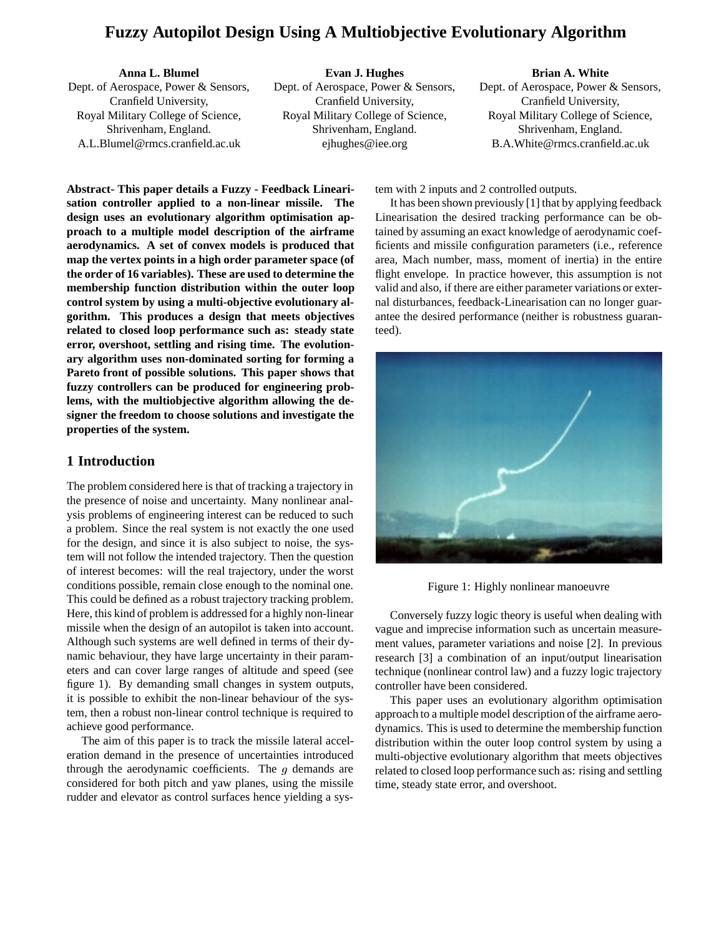# **Fuzzy Autopilot Design Using A Multiobjective Evolutionary Algorithm**

**Anna L. Blumel**

Dept. of Aerospace, Power & Sensors, Cranfield University, Royal Military College of Science, Shrivenham, England. A.L.Blumel@rmcs.cranfield.ac.uk

**Evan J. Hughes** Dept. of Aerospace, Power & Sensors, Cranfield University, Royal Military College of Science, Shrivenham, England. ejhughes@iee.org

#### **Brian A. White**

Dept. of Aerospace, Power & Sensors, Cranfield University, Royal Military College of Science, Shrivenham, England. B.A.White@rmcs.cranfield.ac.uk

**Abstract- This paper details a Fuzzy - Feedback Linearisation controller applied to a non-linear missile. The design uses an evolutionary algorithm optimisation approach to a multiple model description of the airframe aerodynamics. A set of convex models is produced that map the vertex points in a high order parameter space (of the order of 16 variables). These are used to determine the membership function distribution within the outer loop control system by using a multi-objective evolutionary algorithm. This produces a design that meets objectives related to closed loop performance such as: steady state error, overshoot, settling and rising time. The evolutionary algorithm uses non-dominated sorting for forming a Pareto front of possible solutions. This paper shows that fuzzy controllers can be produced for engineering problems, with the multiobjective algorithm allowing the designer the freedom to choose solutions and investigate the properties of the system.**

### **1 Introduction**

The problem considered here is that of tracking a trajectory in the presence of noise and uncertainty. Many nonlinear analysis problems of engineering interest can be reduced to such a problem. Since the real system is not exactly the one used for the design, and since it is also subject to noise, the system will not follow the intended trajectory. Then the question of interest becomes: will the real trajectory, under the worst conditions possible, remain close enough to the nominal one. This could be defined as a robust trajectory tracking problem. Here, this kind of problem is addressed for a highly non-linear missile when the design of an autopilot is taken into account. Although such systems are well defined in terms of their dynamic behaviour, they have large uncertainty in their parameters and can cover large ranges of altitude and speed (see figure 1). By demanding small changes in system outputs, it is possible to exhibit the non-linear behaviour of the system, then a robust non-linear control technique is required to achieve good performance.

The aim of this paper is to track the missile lateral acceleration demand in the presence of uncertainties introduced through the aerodynamic coefficients. The  $g$  demands are considered for both pitch and yaw planes, using the missile rudder and elevator as control surfaces hence yielding a system with 2 inputs and 2 controlled outputs.

It has been shown previously [1] that by applying feedback Linearisation the desired tracking performance can be obtained by assuming an exact knowledge of aerodynamic coefficients and missile configuration parameters (i.e., reference area, Mach number, mass, moment of inertia) in the entire flight envelope. In practice however, this assumption is not valid and also, if there are either parameter variations or external disturbances, feedback-Linearisation can no longer guarantee the desired performance (neither is robustness guaranteed).



Figure 1: Highly nonlinear manoeuvre

Conversely fuzzy logic theory is useful when dealing with vague and imprecise information such as uncertain measurement values, parameter variations and noise [2]. In previous research [3] a combination of an input/output linearisation technique (nonlinear control law) and a fuzzy logic trajectory controller have been considered.

This paper uses an evolutionary algorithm optimisation approach to a multiple model description of the airframe aerodynamics. This is used to determine the membership function distribution within the outer loop control system by using a multi-objective evolutionary algorithm that meets objectives related to closed loop performance such as: rising and settling time, steady state error, and overshoot.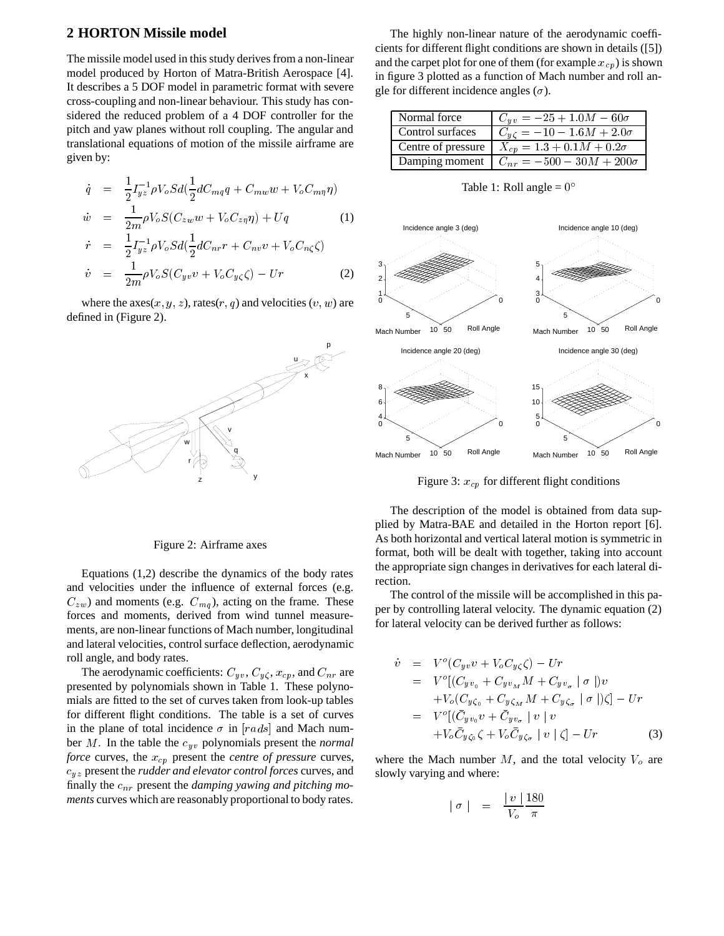### **2 HORTON Missile model**

The missile model used in this study derives from a non-linear model produced by Horton of Matra-British Aerospace [4]. It describes a 5 DOF model in parametric format with severe cross-coupling and non-linear behaviour. This study has considered the reduced problem of a 4 DOF controller for the pitch and yaw planes without roll coupling. The angular and translational equations of motion of the missile airframe are given by:

$$
\dot{q} = \frac{1}{2} I_{yz}^{-1} \rho V_o S d(\frac{1}{2} d C_{mq} q + C_{mw} w + V_o C_{m\eta} \eta)
$$
  

$$
\dot{w} = \frac{1}{2m} \rho V_o S (C_{zw} w + V_o C_{z\eta} \eta) + U q
$$
 (1)

$$
\dot{r} = \frac{1}{2} I_{yz}^{-1} \rho V_o S d(\frac{1}{2} dC_{nr} r + C_{nv} v + V_o C_{n\zeta} \zeta)
$$
  
\n
$$
\dot{v} = \frac{1}{2m} \rho V_o S (C_{yv} v + V_o C_{y\zeta} \zeta) - Ur
$$
 (2)

where the  $axes(x, y, z)$ , rates(r, q) and velocities (v, w) are defined in (Figure 2).



Figure 2: Airframe axes

Equations (1,2) describe the dynamics of the body rates and velocities under the influence of external forces (e.g.  $C_{zw}$ ) and moments (e.g.  $C_{mq}$ ), acting on the frame. These forces and moments, derived from wind tunnel measurements, are non-linear functions of Mach number, longitudinal and lateral velocities, control surface deflection, aerodynamic roll angle, and body rates.

The aerodynamic coefficients:  $C_{yv}$ ,  $C_{y\zeta}$ ,  $x_{cp}$ , and  $C_{nr}$  are presented by polynomials shown in Table 1. These polynomials are fitted to the set of curves taken from look-up tables for different flight conditions. The table is a set of curves in the plane of total incidence  $\sigma$  in [rads] and Mach number <sup>M</sup>. In the table the cyv polynomials present the *normal force* curves, the  $x_{cp}$  present the *centre of pressure* curves, cyz present the *rudder and elevator control forces* curves, and finally the  $c_{nr}$  present the *damping yawing and pitching moments* curves which are reasonably proportional to body rates.

The highly non-linear nature of the aerodynamic coefficients for different flight conditions are shown in details ([5]) and the carpet plot for one of them (for example  $x_{cp}$ ) is shown in figure 3 plotted as a function of Mach number and roll angle for different incidence angles  $(\sigma)$ .

| Normal force       | $C_{uv} = -25 + 1.0M - 60\sigma$                      |
|--------------------|-------------------------------------------------------|
| Control surfaces   | $C_{u\zeta} = -10 - 1.6M + 2.0\sigma$                 |
| Centre of pressure | $X_{cn} = 1.3 + 0.1M + 0.2\sigma$                     |
|                    | Damping moment $\mid C_{nr} = -500 - 30M + 200\sigma$ |

Table 1: Roll angle =  $0^{\circ}$ 



Figure 3:  $x_{cp}$  for different flight conditions

The description of the model is obtained from data supplied by Matra-BAE and detailed in the Horton report [6]. As both horizontal and vertical lateral motion is symmetric in format, both will be dealt with together, taking into account the appropriate sign changes in derivatives for each lateral direction.

The control of the missile will be accomplished in this paper by controlling lateral velocity. The dynamic equation (2) for lateral velocity can be derived further as follows:

$$
\dot{v} = V^o(C_{yv}v + V_oC_{y\zeta}\zeta) - Ur
$$
\n
$$
= V^o[(C_{yv_0} + C_{yv_M}M + C_{yv_\sigma} | \sigma ])v
$$
\n
$$
+V_o(C_{y\zeta_0} + C_{y\zeta_M}M + C_{y\zeta_\sigma} | \sigma ])\zeta] - Ur
$$
\n
$$
= V^o[(\bar{C}_{yv_0}v + \bar{C}_{yv_\sigma} | v | v
$$
\n
$$
+V_o\bar{C}_{y\zeta_0}\zeta + V_o\bar{C}_{y\zeta_\sigma} | v | \zeta] - Ur
$$
\n(3)

where the Mach number  $M$ , and the total velocity  $V_o$  are slowly varying and where:

$$
|\sigma| = \frac{|v|}{V_o} \frac{180}{\pi}
$$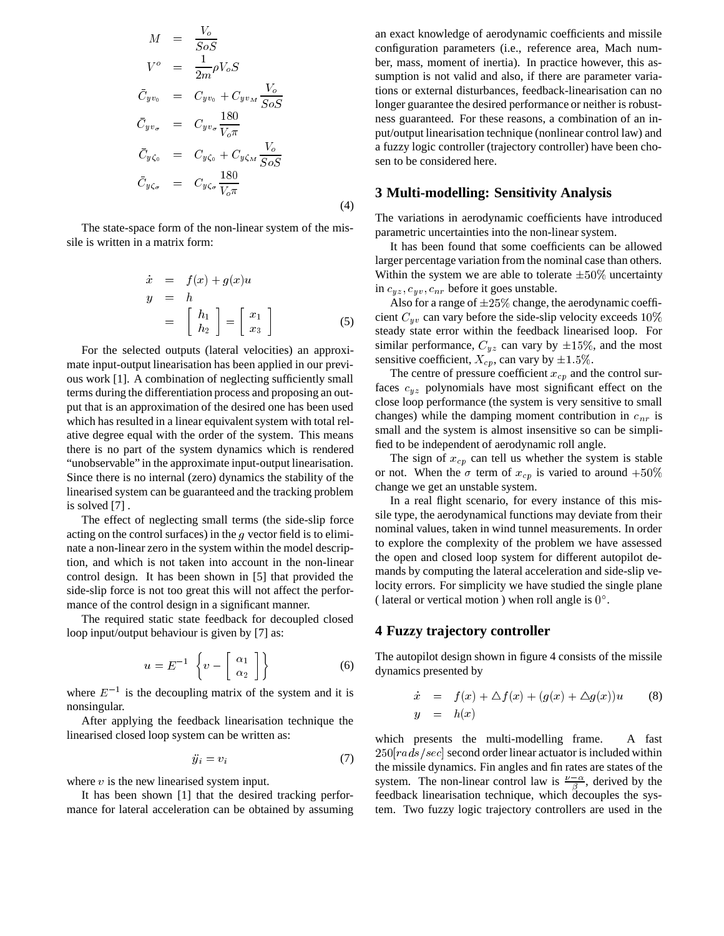$$
M = \frac{V_o}{SoS}
$$
  
\n
$$
V^o = \frac{1}{2m}\rho V_o S
$$
  
\n
$$
\bar{C}_{yv_0} = C_{yv_0} + C_{yv_M} \frac{V_o}{SoS}
$$
  
\n
$$
\bar{C}_{yv_\sigma} = C_{yv_\sigma} \frac{180}{V_o \pi}
$$
  
\n
$$
\bar{C}_{y\zeta_0} = C_{y\zeta_0} + C_{y\zeta_M} \frac{V_o}{SoS}
$$
  
\n
$$
\bar{C}_{y\zeta_\sigma} = C_{y\zeta_\sigma} \frac{180}{V_o \pi}
$$

The state-space form of the non-linear system of the missile is written in a matrix form:

$$
\begin{array}{rcl}\n\dot{x} & = & f(x) + g(x)u \\
y & = & h \\
 & = & \left[\begin{array}{c} h_1 \\ h_2 \end{array}\right] = \left[\begin{array}{c} x_1 \\ x_3 \end{array}\right]\n\end{array} \tag{5}
$$

(4)

For the selected outputs (lateral velocities) an approximate input-output linearisation has been applied in our previous work [1]. A combination of neglecting sufficiently small terms during the differentiation process and proposing an output that is an approximation of the desired one has been used which has resulted in a linear equivalent system with total relative degree equal with the order of the system. This means there is no part of the system dynamics which is rendered "unobservable" in the approximate input-output linearisation. Since there is no internal (zero) dynamics the stability of the linearised system can be guaranteed and the tracking problem is solved [7] .

The effect of neglecting small terms (the side-slip force acting on the control surfaces) in the  $g$  vector field is to eliminate a non-linear zero in the system within the model description, and which is not taken into account in the non-linear control design. It has been shown in [5] that provided the side-slip force is not too great this will not affect the performance of the control design in a significant manner.

The required static state feedback for decoupled closed loop input/output behaviour is given by [7] as:

$$
u = E^{-1} \left\{ v - \begin{bmatrix} \alpha_1 \\ \alpha_2 \end{bmatrix} \right\}
$$
 (6)

where  $E^{-1}$  is the decoupling matrix of the system and it is nonsingular.

After applying the feedback linearisation technique the linearised closed loop system can be written as:

$$
\ddot{y}_i = v_i \tag{7}
$$

where  $v$  is the new linearised system input.

It has been shown [1] that the desired tracking performance for lateral acceleration can be obtained by assuming

an exact knowledge of aerodynamic coefficients and missile configuration parameters (i.e., reference area, Mach number, mass, moment of inertia). In practice however, this assumption is not valid and also, if there are parameter variations or external disturbances, feedback-linearisation can no longer guarantee the desired performance or neither is robustness guaranteed. For these reasons, a combination of an input/output linearisation technique (nonlinear control law) and a fuzzy logic controller (trajectory controller) have been chosen to be considered here.

#### **3 Multi-modelling: Sensitivity Analysis**

The variations in aerodynamic coefficients have introduced parametric uncertainties into the non-linear system.

It has been found that some coefficients can be allowed larger percentage variation from the nominal case than others. Within the system we are able to tolerate  $\pm 50\%$  uncertainty in  $c_{yz}, c_{uv}, c_{nr}$  before it goes unstable.

Also for a range of  $\pm 25\%$  change, the aerodynamic coefficient  $C_{uv}$  can vary before the side-slip velocity exceeds  $10\%$ steady state error within the feedback linearised loop. For similar performance,  $C_{yz}$  can vary by  $\pm 15\%$ , and the most sensitive coefficient,  $X_{cp}$ , can vary by  $\pm 1.5\%$ .

The centre of pressure coefficient  $x_{cp}$  and the control surfaces  $c_{yz}$  polynomials have most significant effect on the close loop performance (the system is very sensitive to small changes) while the damping moment contribution in  $c_{nr}$  is small and the system is almost insensitive so can be simplified to be independent of aerodynamic roll angle.

The sign of  $x_{cp}$  can tell us whether the system is stable or not. When the  $\sigma$  term of  $x_{cp}$  is varied to around +50% change we get an unstable system.

In a real flight scenario, for every instance of this missile type, the aerodynamical functions may deviate from their nominal values, taken in wind tunnel measurements. In order to explore the complexity of the problem we have assessed the open and closed loop system for different autopilot demands by computing the lateral acceleration and side-slip velocity errors. For simplicity we have studied the single plane (lateral or vertical motion) when roll angle is  $0^\circ$ .

#### **4 Fuzzy trajectory controller**

The autopilot design shown in figure 4 consists of the missile dynamics presented by

$$
\dot{x} = f(x) + \Delta f(x) + (g(x) + \Delta g(x))u \qquad (8)
$$
  

$$
y = h(x)
$$

which presents the multi-modelling frame. A fast  $250[rads/sec]$  second order linear actuator is included within the missile dynamics. Fin angles and fin rates are states of the system. The non-linear control law is  $\frac{\nu-\alpha}{\beta}$ , derived by the feedback linearisation technique, which decouples the system. Two fuzzy logic trajectory controllers are used in the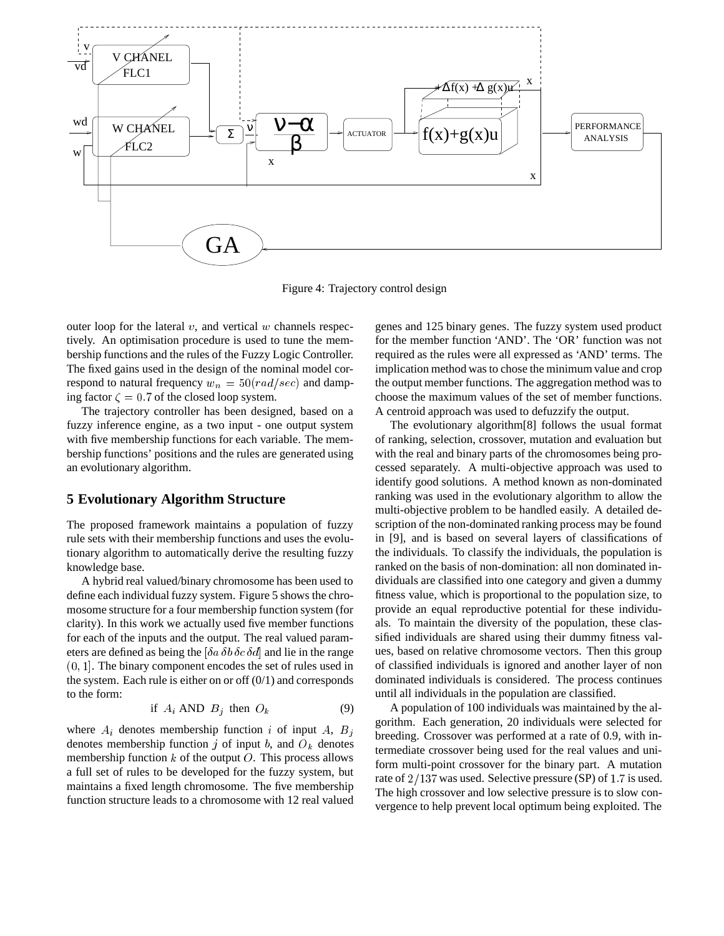

Figure 4: Trajectory control design

outer loop for the lateral  $v$ , and vertical  $w$  channels respectively. An optimisation procedure is used to tune the membership functions and the rules of the Fuzzy Logic Controller. The fixed gains used in the design of the nominal model correspond to natural frequency  $w_n = 50(rad/sec)$  and damping factor  $\zeta = 0.7$  of the closed loop system.

The trajectory controller has been designed, based on a fuzzy inference engine, as a two input - one output system with five membership functions for each variable. The membership functions' positions and the rules are generated using an evolutionary algorithm.

#### **5 Evolutionary Algorithm Structure**

The proposed framework maintains a population of fuzzy rule sets with their membership functions and uses the evolutionary algorithm to automatically derive the resulting fuzzy knowledge base.

A hybrid real valued/binary chromosome has been used to define each individual fuzzy system. Figure 5 shows the chromosome structure for a four membership function system (for clarity). In this work we actually used five member functions for each of the inputs and the output. The real valued parameters are defined as being the  $\delta a \delta b \delta c \delta d$  and lie in the range (0; 1]. The binary component encodes the set of rules used in the system. Each rule is either on or off  $(0/1)$  and corresponds to the form:

$$
if A_i AND B_j then O_k \t(9)
$$

where  $A_i$  denotes membership function i of input A,  $B_j$ denotes membership function j of input b, and  $O_k$  denotes membership function  $k$  of the output  $O$ . This process allows a full set of rules to be developed for the fuzzy system, but maintains a fixed length chromosome. The five membership function structure leads to a chromosome with 12 real valued

genes and 125 binary genes. The fuzzy system used product for the member function 'AND'. The 'OR' function was not required as the rules were all expressed as 'AND' terms. The implication method was to chose the minimum value and crop the output member functions. The aggregation method was to choose the maximum values of the set of member functions. A centroid approach was used to defuzzify the output.

The evolutionary algorithm[8] follows the usual format of ranking, selection, crossover, mutation and evaluation but with the real and binary parts of the chromosomes being processed separately. A multi-objective approach was used to identify good solutions. A method known as non-dominated ranking was used in the evolutionary algorithm to allow the multi-objective problem to be handled easily. A detailed description of the non-dominated ranking process may be found in [9], and is based on several layers of classifications of the individuals. To classify the individuals, the population is ranked on the basis of non-domination: all non dominated individuals are classified into one category and given a dummy fitness value, which is proportional to the population size, to provide an equal reproductive potential for these individuals. To maintain the diversity of the population, these classified individuals are shared using their dummy fitness values, based on relative chromosome vectors. Then this group of classified individuals is ignored and another layer of non dominated individuals is considered. The process continues until all individuals in the population are classified.

A population of 100 individuals was maintained by the algorithm. Each generation, 20 individuals were selected for breeding. Crossover was performed at a rate of 0.9, with intermediate crossover being used for the real values and uniform multi-point crossover for the binary part. A mutation rate of  $2/137$  was used. Selective pressure (SP) of 1.7 is used. The high crossover and low selective pressure is to slow convergence to help prevent local optimum being exploited. The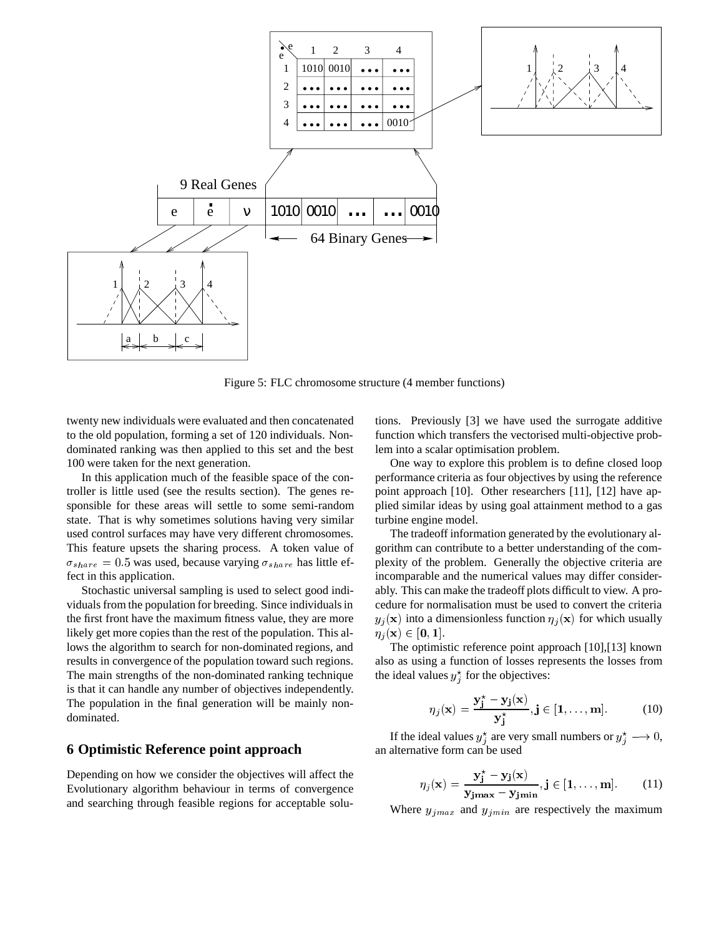

Figure 5: FLC chromosome structure (4 member functions)

twenty new individuals were evaluated and then concatenated to the old population, forming a set of 120 individuals. Nondominated ranking was then applied to this set and the best 100 were taken for the next generation.

In this application much of the feasible space of the controller is little used (see the results section). The genes responsible for these areas will settle to some semi-random state. That is why sometimes solutions having very similar used control surfaces may have very different chromosomes. This feature upsets the sharing process. A token value of  $\sigma_{share} = 0.5$  was used, because varying  $\sigma_{share}$  has little effect in this application.

Stochastic universal sampling is used to select good individuals from the population for breeding. Since individuals in the first front have the maximum fitness value, they are more likely get more copies than the rest of the population. This allows the algorithm to search for non-dominated regions, and results in convergence of the population toward such regions. The main strengths of the non-dominated ranking technique is that it can handle any number of objectives independently. The population in the final generation will be mainly nondominated.

#### **6 Optimistic Reference point approach**

Depending on how we consider the objectives will affect the Evolutionary algorithm behaviour in terms of convergence and searching through feasible regions for acceptable solutions. Previously [3] we have used the surrogate additive function which transfers the vectorised multi-objective problem into a scalar optimisation problem.

One way to explore this problem is to define closed loop performance criteria as four objectives by using the reference point approach [10]. Other researchers [11], [12] have applied similar ideas by using goal attainment method to a gas turbine engine model.

The tradeoff information generated by the evolutionary algorithm can contribute to a better understanding of the complexity of the problem. Generally the objective criteria are incomparable and the numerical values may differ considerably. This can make the tradeoff plots difficult to view. A procedure for normalisation must be used to convert the criteria  $y_j(\mathbf{x})$  into a dimensionless function  $\eta_j(\mathbf{x})$  for which usually  $\eta_i({\bf x}) \in [0, 1].$ 

The optimistic reference point approach [10],[13] known also as using a function of losses represents the losses from the ideal values  $y_j^*$  for the objectives:

$$
\eta_j(\mathbf{x}) = \frac{\mathbf{y}_j^* - \mathbf{y}_j(\mathbf{x})}{\mathbf{y}_j^*}, j \in [1, \dots, m].
$$
 (10)

If the ideal values  $y_j^*$  are very small numbers or  $y_j^* \longrightarrow 0$ , an alternative form can be used

$$
\eta_j(\mathbf{x}) = \frac{\mathbf{y}_j^* - \mathbf{y}_j(\mathbf{x})}{\mathbf{y}_{jmax} - \mathbf{y}_{jmin}}, j \in [1, ..., m].
$$
 (11)

Where  $y_{jmax}$  and  $y_{jmin}$  are respectively the maximum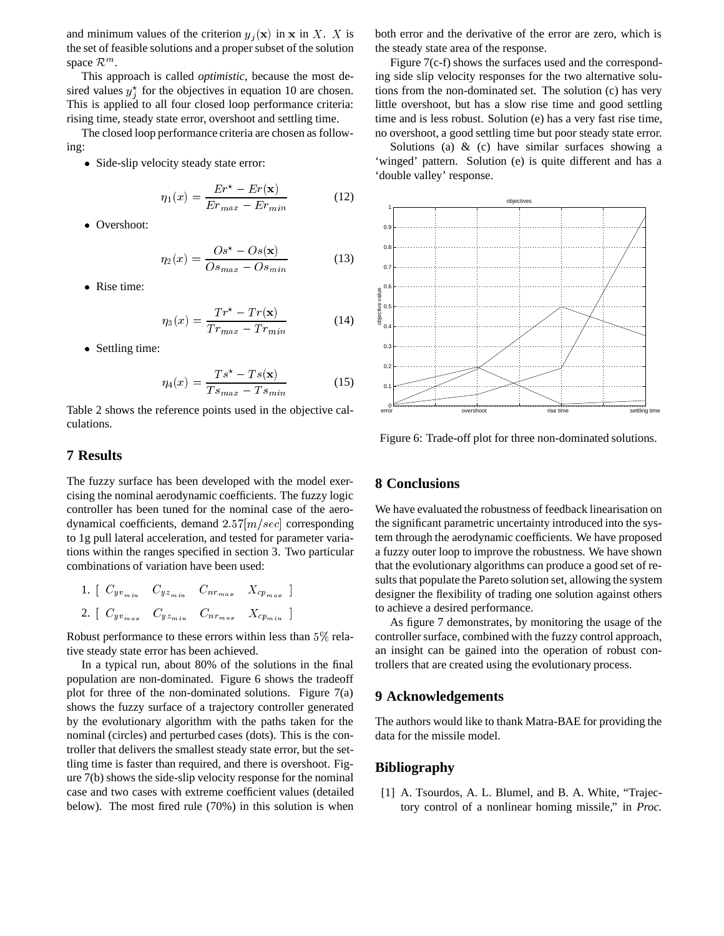and minimum values of the criterion  $y_i(\mathbf{x})$  in x in X. X is the set of feasible solutions and a proper subset of the solution space  $\mathcal{R}^m$ .

This approach is called *optimistic*, because the most desired values  $y_j^*$  for the objectives in equation 10 are chosen. This is applied to all four closed loop performance criteria: rising time, steady state error, overshoot and settling time.

The closed loop performance criteria are chosen as following:

Side-slip velocity steady state error:

$$
\eta_1(x) = \frac{Er^* - Er(\mathbf{x})}{Er_{max} - Er_{min}}\tag{12}
$$

• Overshoot:

$$
\eta_2(x) = \frac{Os^* - Os(\mathbf{x})}{Os_{max} - Os_{min}}\tag{13}
$$

• Rise time:

$$
\eta_3(x) = \frac{Tr^* - Tr(\mathbf{x})}{Tr_{max} - Tr_{min}} \tag{14}
$$

• Settling time:

$$
\eta_4(x) = \frac{T s^* - T s(\mathbf{x})}{T s_{max} - T s_{min}} \tag{15}
$$

Table 2 shows the reference points used in the objective calculations.

#### **7 Results**

The fuzzy surface has been developed with the model exercising the nominal aerodynamic coefficients. The fuzzy logic controller has been tuned for the nominal case of the aerodynamical coefficients, demand  $2.57[m/sec]$  corresponding to 1g pull lateral acceleration, and tested for parameter variations within the ranges specified in section 3. Two particular combinations of variation have been used:

1. 
$$
\left[\begin{array}{ccccc}C_{yv_{min}} & C_{yz_{min}} & C_{nr_{max}} & X_{cp_{max}}\end{array}\right]
$$
  
2. 
$$
\left[\begin{array}{ccccc}C_{yv_{max}} & C_{yz_{min}} & C_{nr_{max}} & X_{cp_{min}}\end{array}\right]
$$

Robust performance to these errors within less than 5% relative steady state error has been achieved.

In a typical run, about 80% of the solutions in the final population are non-dominated. Figure 6 shows the tradeoff plot for three of the non-dominated solutions. Figure  $7(a)$ shows the fuzzy surface of a trajectory controller generated by the evolutionary algorithm with the paths taken for the nominal (circles) and perturbed cases (dots). This is the controller that delivers the smallest steady state error, but the settling time is faster than required, and there is overshoot. Figure 7(b) shows the side-slip velocity response for the nominal case and two cases with extreme coefficient values (detailed below). The most fired rule (70%) in this solution is when both error and the derivative of the error are zero, which is the steady state area of the response.

Figure 7(c-f) shows the surfaces used and the corresponding side slip velocity responses for the two alternative solutions from the non-dominated set. The solution (c) has very little overshoot, but has a slow rise time and good settling time and is less robust. Solution (e) has a very fast rise time, no overshoot, a good settling time but poor steady state error.

Solutions (a)  $\&$  (c) have similar surfaces showing a 'winged' pattern. Solution (e) is quite different and has a 'double valley' response.



Figure 6: Trade-off plot for three non-dominated solutions.

#### **8 Conclusions**

We have evaluated the robustness of feedback linearisation on the significant parametric uncertainty introduced into the system through the aerodynamic coefficients. We have proposed a fuzzy outer loop to improve the robustness. We have shown that the evolutionary algorithms can produce a good set of results that populate the Pareto solution set, allowing the system designer the flexibility of trading one solution against others to achieve a desired performance.

As figure 7 demonstrates, by monitoring the usage of the controller surface, combined with the fuzzy control approach, an insight can be gained into the operation of robust controllers that are created using the evolutionary process.

#### **9 Acknowledgements**

The authors would like to thank Matra-BAE for providing the data for the missile model.

### **Bibliography**

[1] A. Tsourdos, A. L. Blumel, and B. A. White, "Trajectory control of a nonlinear homing missile," in *Proc.*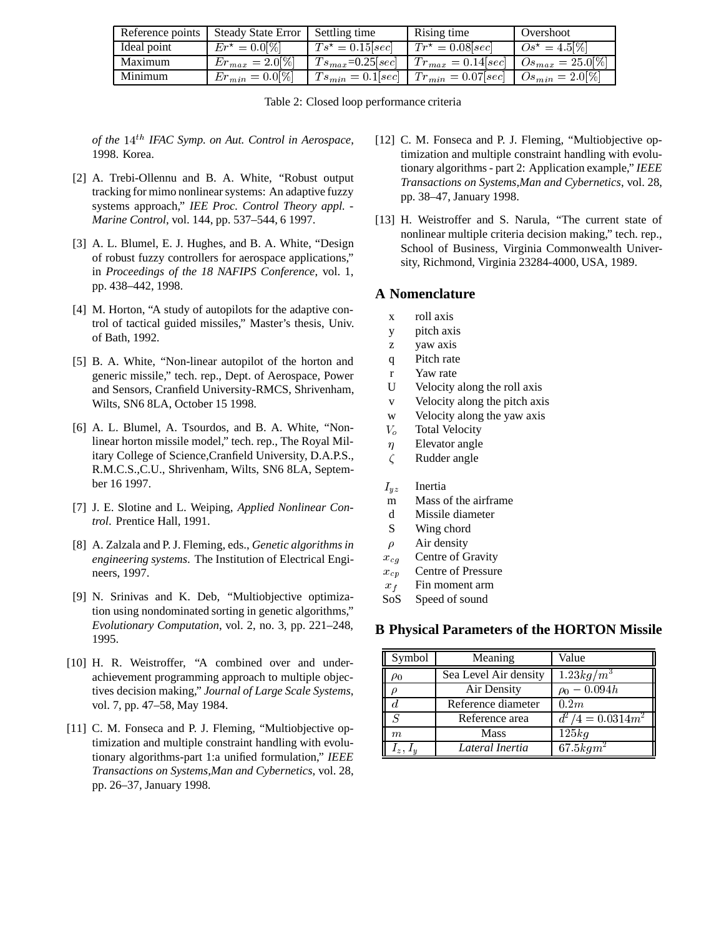| Reference points | Steady State Error   Settling time |                        | Rising time                                                                                                     | Overshoot        |
|------------------|------------------------------------|------------------------|-----------------------------------------------------------------------------------------------------------------|------------------|
| Ideal point      | $Er^* = 0.0[%]$                    | $Ts^* = 0.15 \, [sec]$ | $Tr^* = 0.08 \, \text{sec}$                                                                                     | $\log^* = 4.5\%$ |
| Maximum          | $Er_{max} = 2.0[%]$                |                        | $T s_{max} = 0.25 \text{[} sec \text{]}$ $T r_{max} = 0.14 \text{[} sec \text{]}$ $O s_{max} = 25.0 \text{[%]}$ |                  |
| Minimum          | $Er_{min} = 0.0[%]$                |                        | $T_{s_{min}} = 0.1[sec]$   $Tr_{min} = 0.07[sec]$   $Os_{min} = 2.0[%]$                                         |                  |

|  |  |  | Table 2: Closed loop performance criteria |  |
|--|--|--|-------------------------------------------|--|
|--|--|--|-------------------------------------------|--|

*of the* <sup>14</sup>th *IFAC Symp. on Aut. Control in Aerospace*, 1998. Korea.

- [2] A. Trebi-Ollennu and B. A. White, "Robust output tracking for mimo nonlinear systems: An adaptive fuzzy systems approach," *IEE Proc. Control Theory appl. - Marine Control*, vol. 144, pp. 537–544, 6 1997.
- [3] A. L. Blumel, E. J. Hughes, and B. A. White, "Design" of robust fuzzy controllers for aerospace applications," in *Proceedings of the 18 NAFIPS Conference*, vol. 1, pp. 438–442, 1998.
- [4] M. Horton, "A study of autopilots for the adaptive control of tactical guided missiles," Master's thesis, Univ. of Bath, 1992.
- [5] B. A. White, "Non-linear autopilot of the horton and generic missile," tech. rep., Dept. of Aerospace, Power and Sensors, Cranfield University-RMCS, Shrivenham, Wilts, SN6 8LA, October 15 1998.
- [6] A. L. Blumel, A. Tsourdos, and B. A. White, "Nonlinear horton missile model," tech. rep., The Royal Military College of Science,Cranfield University, D.A.P.S., R.M.C.S.,C.U., Shrivenham, Wilts, SN6 8LA, September 16 1997.
- [7] J. E. Slotine and L. Weiping, *Applied Nonlinear Control*. Prentice Hall, 1991.
- [8] A. Zalzala and P. J. Fleming, eds., *Genetic algorithms in engineering systems*. The Institution of Electrical Engineers, 1997.
- [9] N. Srinivas and K. Deb, "Multiobjective optimization using nondominated sorting in genetic algorithms," *Evolutionary Computation*, vol. 2, no. 3, pp. 221–248, 1995.
- [10] H. R. Weistroffer, "A combined over and underachievement programming approach to multiple objectives decision making," *Journal of Large Scale Systems*, vol. 7, pp. 47–58, May 1984.
- [11] C. M. Fonseca and P. J. Fleming, "Multiobjective optimization and multiple constraint handling with evolutionary algorithms-part 1:a unified formulation," *IEEE Transactions on Systems,Man and Cybernetics*, vol. 28, pp. 26–37, January 1998.
- [12] C. M. Fonseca and P. J. Fleming, "Multiobjective optimization and multiple constraint handling with evolutionary algorithms - part 2: Application example," *IEEE Transactions on Systems,Man and Cybernetics*, vol. 28, pp. 38–47, January 1998.
- [13] H. Weistroffer and S. Narula, "The current state of nonlinear multiple criteria decision making," tech. rep., School of Business, Virginia Commonwealth University, Richmond, Virginia 23284-4000, USA, 1989.

# **A Nomenclature**

- x roll axis
- y pitch axis
- z yaw axis
- q Pitch rate
- r Yaw rate
- U Velocity along the roll axis
- v Velocity along the pitch axis
- w Velocity along the yaw axis
- $V<sub>o</sub>$  Total Velocity
- $\eta$  Elevator angle
- $\zeta$  Rudder angle

## $I_{yz}$  Inertia

- m Mass of the airframe
- d Missile diameter
- S Wing chord
- $\rho$  Air density
- $x_{cg}$  Centre of Gravity
- $x_{cp}$  Centre of Pressure
- $x_f$  Fin moment arm
- SoS Speed of sound

# **B Physical Parameters of the HORTON Missile**

| Symbol   | Meaning               | Value                   |
|----------|-----------------------|-------------------------|
| $\rho_0$ | Sea Level Air density | $1.23\overline{kg/m^3}$ |
|          | Air Density           | $\rho_0 - 0.094h$       |
|          | Reference diameter    | 0.2m                    |
| ς        | Reference area        | $d^2/4 = 0.0314m^2$     |
| m        | <b>Mass</b>           | 125kg                   |
|          | Lateral Inertia       | 67.5kgm <sup>2</sup>    |